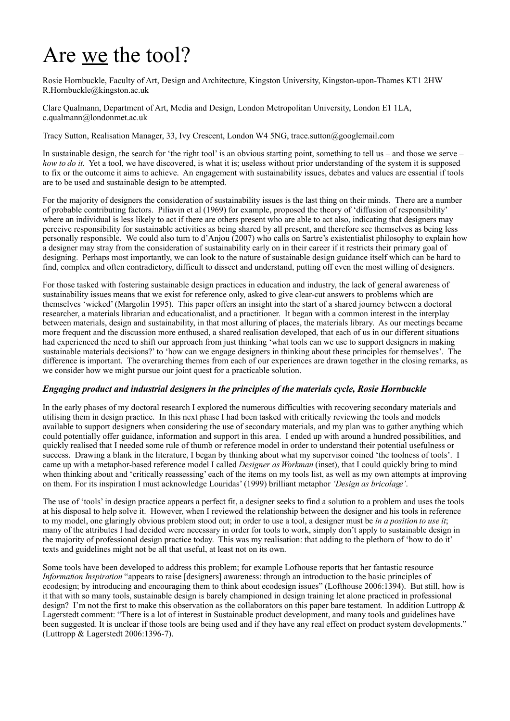# Are we the tool?

Rosie Hornbuckle, Faculty of Art, Design and Architecture, Kingston University, Kingston-upon-Thames KT1 2HW R.Hornbuckle@kingston.ac.uk

Clare Qualmann, Department of Art, Media and Design, London Metropolitan University, London E1 1LA, c.qualmann@londonmet.ac.uk

Tracy Sutton, Realisation Manager, 33, Ivy Crescent, London W4 5NG, trace.sutton@googlemail.com

In sustainable design, the search for 'the right tool' is an obvious starting point, something to tell us – and those we serve – *how to do it.* Yet a tool, we have discovered, is what it is; useless without prior understanding of the system it is supposed to fix or the outcome it aims to achieve. An engagement with sustainability issues, debates and values are essential if tools are to be used and sustainable design to be attempted.

For the majority of designers the consideration of sustainability issues is the last thing on their minds. There are a number of probable contributing factors. Piliavin et al (1969) for example, proposed the theory of 'diffusion of responsibility' where an individual is less likely to act if there are others present who are able to act also, indicating that designers may perceive responsibility for sustainable activities as being shared by all present, and therefore see themselves as being less personally responsible. We could also turn to d'Anjou (2007) who calls on Sartre's existentialist philosophy to explain how a designer may stray from the consideration of sustainability early on in their career if it restricts their primary goal of designing. Perhaps most importantly, we can look to the nature of sustainable design guidance itself which can be hard to find, complex and often contradictory, difficult to dissect and understand, putting off even the most willing of designers.

For those tasked with fostering sustainable design practices in education and industry, the lack of general awareness of sustainability issues means that we exist for reference only, asked to give clear-cut answers to problems which are themselves 'wicked' (Margolin 1995). This paper offers an insight into the start of a shared journey between a doctoral researcher, a materials librarian and educationalist, and a practitioner. It began with a common interest in the interplay between materials, design and sustainability, in that most alluring of places, the materials library. As our meetings became more frequent and the discussion more enthused, a shared realisation developed, that each of us in our different situations had experienced the need to shift our approach from just thinking 'what tools can we use to support designers in making sustainable materials decisions?' to 'how can we engage designers in thinking about these principles for themselves'. The difference is important. The overarching themes from each of our experiences are drawn together in the closing remarks, as we consider how we might pursue our joint quest for a practicable solution.

# *Engaging product and industrial designers in the principles of the materials cycle, Rosie Hornbuckle*

In the early phases of my doctoral research I explored the numerous difficulties with recovering secondary materials and utilising them in design practice. In this next phase I had been tasked with critically reviewing the tools and models available to support designers when considering the use of secondary materials, and my plan was to gather anything which could potentially offer guidance, information and support in this area. I ended up with around a hundred possibilities, and quickly realised that I needed some rule of thumb or reference model in order to understand their potential usefulness or success. Drawing a blank in the literature, I began by thinking about what my supervisor coined 'the toolness of tools'. I came up with a metaphor-based reference model I called *Designer as Workman* (inset), that I could quickly bring to mind when thinking about and 'critically reassessing' each of the items on my tools list, as well as my own attempts at improving on them. For its inspiration I must acknowledge Louridas' (1999) brilliant metaphor *'Design as bricolage'*.

The use of 'tools' in design practice appears a perfect fit, a designer seeks to find a solution to a problem and uses the tools at his disposal to help solve it. However, when I reviewed the relationship between the designer and his tools in reference to my model, one glaringly obvious problem stood out; in order to use a tool, a designer must be *in a position to use it*; many of the attributes I had decided were necessary in order for tools to work, simply don't apply to sustainable design in the majority of professional design practice today. This was my realisation: that adding to the plethora of 'how to do it' texts and guidelines might not be all that useful, at least not on its own.

Some tools have been developed to address this problem; for example Lofhouse reports that her fantastic resource *Information Inspiration* "appears to raise [designers] awareness: through an introduction to the basic principles of ecodesign; by introducing and encouraging them to think about ecodesign issues" (Lofthouse 2006:1394). But still, how is it that with so many tools, sustainable design is barely championed in design training let alone practiced in professional design? I'm not the first to make this observation as the collaborators on this paper bare testament. In addition Luttropp  $\&$ Lagerstedt comment: "There is a lot of interest in Sustainable product development, and many tools and guidelines have been suggested. It is unclear if those tools are being used and if they have any real effect on product system developments." (Luttropp & Lagerstedt 2006:1396-7).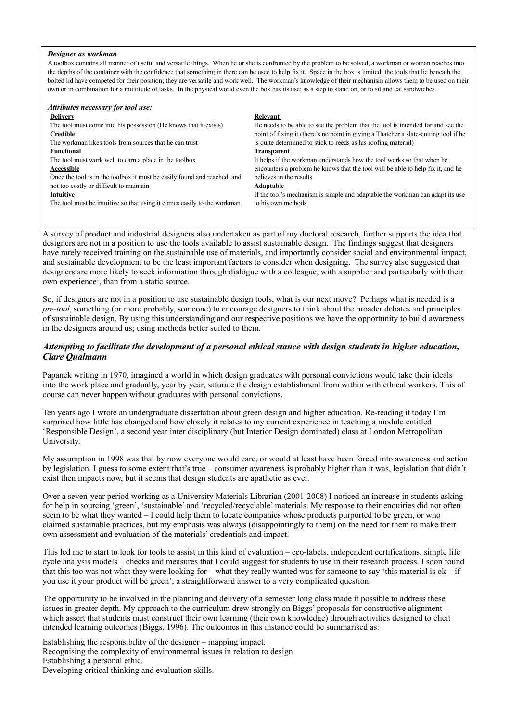#### *Designer as workman*

A toolbox contains all manner of useful and versatile things. When he or she is confronted by the problem to be solved, a workman or woman reaches into the depths of the container with the confidence that something in there can be used to help fix it. Space in the box is limited: the tools that lie beneath the bolted lid have competed for their position; they are versatile and work well. The workman's knowledge of their mechanism allows them to be used on their own or in combination for a multitude of tasks. In the physical world even the box has its use; as a step to stand on, or to sit and eat sandwiches.

| Attributes necessary for tool use:                                       |                                                                                      |
|--------------------------------------------------------------------------|--------------------------------------------------------------------------------------|
| <b>Delivery</b>                                                          | Relevant                                                                             |
| The tool must come into his possession (He knows that it exists)         | He needs to be able to see the problem that the tool is intended for and see the     |
| <b>Credible</b>                                                          | point of fixing it (there's no point in giving a Thatcher a slate-cutting tool if he |
| The workman likes tools from sources that he can trust                   | is quite determined to stick to reeds as his roofing material)                       |
| <b>Functional</b>                                                        | <b>Transparent</b>                                                                   |
| The tool must work well to earn a place in the toolbox                   | It helps if the workman understands how the tool works so that when he               |
| Accessible                                                               | encounters a problem he knows that the tool will be able to help fix it, and he      |
| Once the tool is in the toolbox it must be easily found and reached, and | believes in the results                                                              |
| not too costly or difficult to maintain                                  | <b>Adaptable</b>                                                                     |
| Intuitive                                                                | If the tool's mechanism is simple and adaptable the workman can adapt its use        |
| The tool must be intuitive so that using it comes easily to the workman  | to his own methods                                                                   |
|                                                                          |                                                                                      |

A survey of product and industrial designers also undertaken as part of my doctoral research, further supports the idea that designers are not in a position to use the tools available to assist sustainable design. The findings suggest that designers have rarely received training on the sustainable use of materials, and importantly consider social and environmental impact, and sustainable development to be the least important factors to consider when designing. The survey also suggested that designers are more likely to seek information through dialogue with a colleague, with a supplier and particularly with their own experience<sup>1</sup>, than from a static source.

So, if designers are not in a position to use sustainable design tools, what is our next move? Perhaps what is needed is a *pre-tool*, something (or more probably, someone) to encourage designers to think about the broader debates and principles of sustainable design. By using this understanding and our respective positions we have the opportunity to build awareness in the designers around us; using methods better suited to them.

# *Attempting to facilitate the development of a personal ethical stance with design students in higher education, Clare Qualmann*

Papanek writing in 1970, imagined a world in which design graduates with personal convictions would take their ideals into the work place and gradually, year by year, saturate the design establishment from within with ethical workers. This of course can never happen without graduates with personal convictions.

Ten years ago I wrote an undergraduate dissertation about green design and higher education. Re-reading it today I'm surprised how little has changed and how closely it relates to my current experience in teaching a module entitled 'Responsible Design', a second year inter disciplinary (but Interior Design dominated) class at London Metropolitan University.

My assumption in 1998 was that by now everyone would care, or would at least have been forced into awareness and action by legislation. I guess to some extent that's true – consumer awareness is probably higher than it was, legislation that didn't exist then impacts now, but it seems that design students are apathetic as ever.

Over a seven-year period working as a University Materials Librarian (2001-2008) I noticed an increase in students asking for help in sourcing 'green', 'sustainable' and 'recycled/recyclable' materials. My response to their enquiries did not often seem to be what they wanted – I could help them to locate companies whose products purported to be green, or who claimed sustainable practices, but my emphasis was always (disappointingly to them) on the need for them to make their own assessment and evaluation of the materials' credentials and impact.

This led me to start to look for tools to assist in this kind of evaluation – eco-labels, independent certifications, simple life cycle analysis models – checks and measures that I could suggest for students to use in their research process. I soon found that this too was not what they were looking for – what they really wanted was for someone to say 'this material is  $ok - if$ you use it your product will be green', a straightforward answer to a very complicated question.

The opportunity to be involved in the planning and delivery of a semester long class made it possible to address these issues in greater depth. My approach to the curriculum drew strongly on Biggs' proposals for constructive alignment – which assert that students must construct their own learning (their own knowledge) through activities designed to elicit intended learning outcomes (Biggs, 1996). The outcomes in this instance could be summarised as:

Establishing the responsibility of the designer – mapping impact. Recognising the complexity of environmental issues in relation to design Establishing a personal ethic. Developing critical thinking and evaluation skills.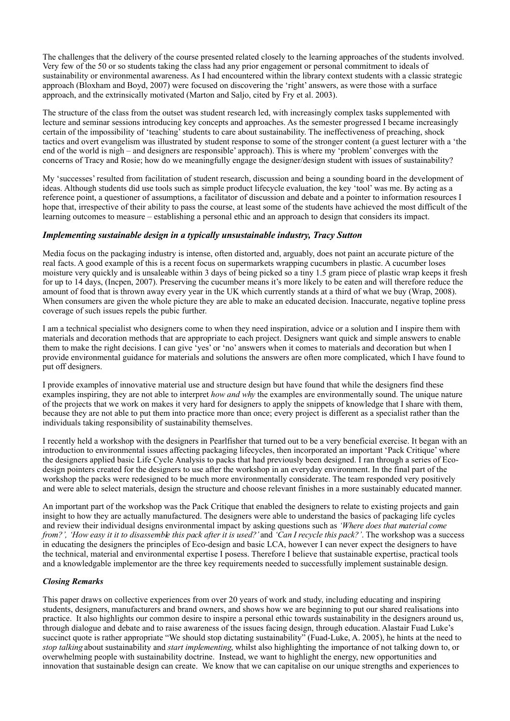The challenges that the delivery of the course presented related closely to the learning approaches of the students involved. Very few of the 50 or so students taking the class had any prior engagement or personal commitment to ideals of sustainability or environmental awareness. As I had encountered within the library context students with a classic strategic approach (Bloxham and Boyd, 2007) were focused on discovering the 'right' answers, as were those with a surface approach, and the extrinsically motivated (Marton and Saljo, cited by Fry et al. 2003).

The structure of the class from the outset was student research led, with increasingly complex tasks supplemented with lecture and seminar sessions introducing key concepts and approaches. As the semester progressed I became increasingly certain of the impossibility of 'teaching' students to care about sustainability. The ineffectiveness of preaching, shock tactics and overt evangelism was illustrated by student response to some of the stronger content (a guest lecturer with a 'the end of the world is nigh – and designers are responsible' approach). This is where my 'problem' converges with the concerns of Tracy and Rosie; how do we meaningfully engage the designer/design student with issues of sustainability?

My 'successes' resulted from facilitation of student research, discussion and being a sounding board in the development of ideas. Although students did use tools such as simple product lifecycle evaluation, the key 'tool' was me. By acting as a reference point, a questioner of assumptions, a facilitator of discussion and debate and a pointer to information resources I hope that, irrespective of their ability to pass the course, at least some of the students have achieved the most difficult of the learning outcomes to measure – establishing a personal ethic and an approach to design that considers its impact.

# *Implementing sustainable design in a typically unsustainable industry, Tracy Sutton*

Media focus on the packaging industry is intense, often distorted and, arguably, does not paint an accurate picture of the real facts. A good example of this is a recent focus on supermarkets wrapping cucumbers in plastic. A cucumber loses moisture very quickly and is unsaleable within 3 days of being picked so a tiny 1.5 gram piece of plastic wrap keeps it fresh for up to 14 days, (Incpen, 2007). Preserving the cucumber means it's more likely to be eaten and will therefore reduce the amount of food that is thrown away every year in the UK which currently stands at a third of what we buy (Wrap, 2008). When consumers are given the whole picture they are able to make an educated decision. Inaccurate, negative topline press coverage of such issues repels the pubic further.

I am a technical specialist who designers come to when they need inspiration, advice or a solution and I inspire them with materials and decoration methods that are appropriate to each project. Designers want quick and simple answers to enable them to make the right decisions. I can give 'yes' or 'no' answers when it comes to materials and decoration but when I provide environmental guidance for materials and solutions the answers are often more complicated, which I have found to put off designers.

I provide examples of innovative material use and structure design but have found that while the designers find these examples inspiring, they are not able to interpret *how and why* the examples are environmentally sound. The unique nature of the projects that we work on makes it very hard for designers to apply the snippets of knowledge that I share with them, because they are not able to put them into practice more than once; every project is different as a specialist rather than the individuals taking responsibility of sustainability themselves.

I recently held a workshop with the designers in Pearlfisher that turned out to be a very beneficial exercise. It began with an introduction to environmental issues affecting packaging lifecycles, then incorporated an important 'Pack Critique' where the designers applied basic Life Cycle Analysis to packs that had previously been designed. I ran through a series of Ecodesign pointers created for the designers to use after the workshop in an everyday environment. In the final part of the workshop the packs were redesigned to be much more environmentally considerate. The team responded very positively and were able to select materials, design the structure and choose relevant finishes in a more sustainably educated manner.

An important part of the workshop was the Pack Critique that enabled the designers to relate to existing projects and gain insight to how they are actually manufactured. The designers were able to understand the basics of packaging life cycles and review their individual designs environmental impact by asking questions such as *'Where does that material come from?', 'How easy it it to disassemble this pack after it is used?'* and *'Can I recycle this pack?'*. The workshop was a success in educating the designers the principles of Eco-design and basic LCA, however I can never expect the designers to have the technical, material and environmental expertise I posess. Therefore I believe that sustainable expertise, practical tools and a knowledgable implementor are the three key requirements needed to successfully implement sustainable design.

# *Closing Remarks*

This paper draws on collective experiences from over 20 years of work and study, including educating and inspiring students, designers, manufacturers and brand owners, and shows how we are beginning to put our shared realisations into practice. It also highlights our common desire to inspire a personal ethic towards sustainability in the designers around us, through dialogue and debate and to raise awareness of the issues facing design, through education. Alastair Fuad Luke's succinct quote is rather appropriate "We should stop dictating sustainability" (Fuad-Luke, A. 2005), he hints at the need to *stop talking* about sustainability and *start implementing*, whilst also highlighting the importance of not talking down to, or overwhelming people with sustainability doctrine. Instead, we want to highlight the energy, new opportunities and innovation that sustainable design can create. We know that we can capitalise on our unique strengths and experiences to